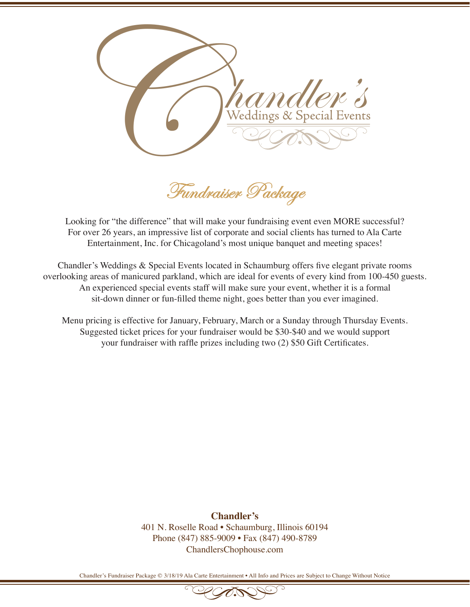

Fundraiser Package

Looking for "the difference" that will make your fundraising event even MORE successful? For over 26 years, an impressive list of corporate and social clients has turned to Ala Carte Entertainment, Inc. for Chicagoland's most unique banquet and meeting spaces!

Chandler's Weddings & Special Events located in Schaumburg offers five elegant private rooms overlooking areas of manicured parkland, which are ideal for events of every kind from 100-450 guests. An experienced special events staff will make sure your event, whether it is a formal sit-down dinner or fun-filled theme night, goes better than you ever imagined.

Menu pricing is effective for January, February, March or a Sunday through Thursday Events. Suggested ticket prices for your fundraiser would be \$30-\$40 and we would support your fundraiser with raffle prizes including two (2) \$50 Gift Certificates.

**Above prices do not include tax or event fee. The 18% event fee is an administrative fee retained entirely by Chandler's for the set up and administration expenses Chandler's** 401 N. Roselle Road • Schaumburg, Illinois 60194 Phone (847) 885-9009 • Fax (847) 490-8789 ChandlersChophouse.com

Chandler's Fundraiser Package © 3/18/19 Ala Carte Entertainment • All Info and Prices are Subject to Change Without Notice